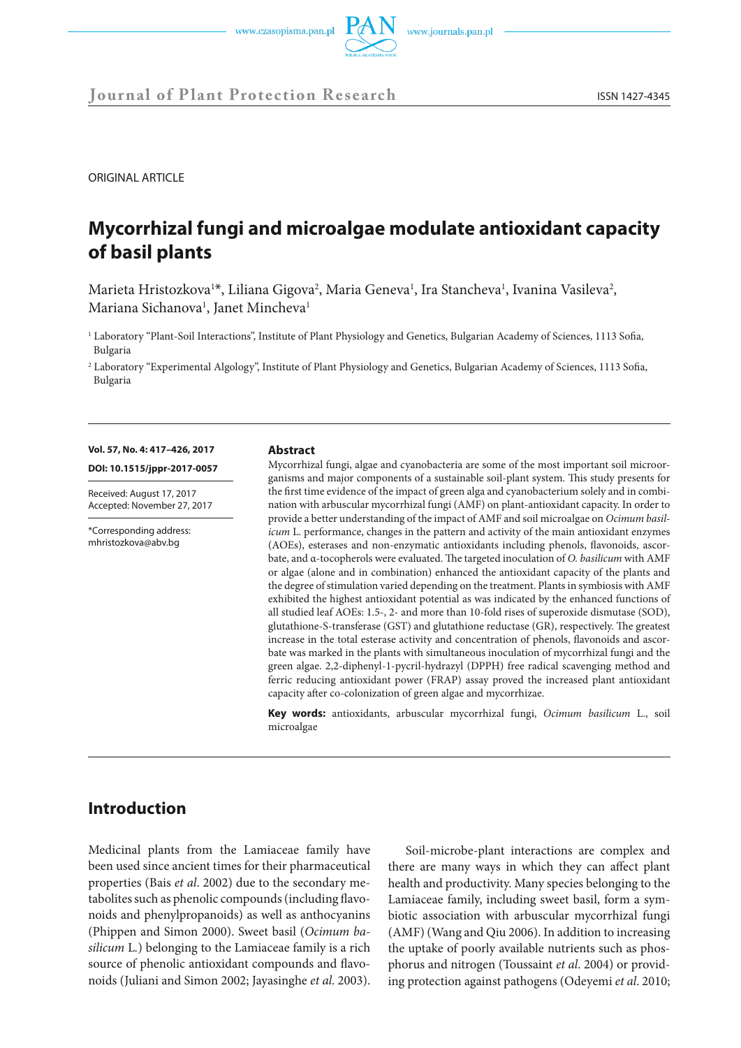

ORIGINAL ARTICLE

# **Mycorrhizal fungi and microalgae modulate antioxidant capacity of basil plants**

Marieta Hristozkova<sup>1\*</sup>, Liliana Gigova<sup>2</sup>, Maria Geneva<sup>1</sup>, Ira Stancheva<sup>1</sup>, Ivanina Vasileva<sup>2</sup>, Mariana Sichanova<sup>1</sup>, Janet Mincheva<sup>1</sup>

<sup>1</sup> Laboratory "Plant-Soil Interactions", Institute of Plant Physiology and Genetics, Bulgarian Academy of Sciences, 1113 Sofia, Bulgaria

2 Laboratory "Experimental Algology", Institute of Plant Physiology and Genetics, Bulgarian Academy of Sciences, 1113 Sofia, Bulgaria

#### **Vol. 57, No. 4: 417–426, 2017**

**DOI: 10.1515/jppr-2017-0057**

Received: August 17, 2017 Accepted: November 27, 2017

\*Corresponding address: mhristozkova@abv.bg

#### **Abstract**

Mycorrhizal fungi, algae and cyanobacteria are some of the most important soil microorganisms and major components of a sustainable soil-plant system. This study presents for the first time evidence of the impact of green alga and cyanobacterium solely and in combination with arbuscular mycorrhizal fungi (AMF) on plant-antioxidant capacity. In order to provide a better understanding of the impact of AMF and soil microalgae on *Ocimum basilicum* L. performance, changes in the pattern and activity of the main antioxidant enzymes (AOEs), esterases and non-enzymatic antioxidants including phenols, flavonoids, ascorbate, and α-tocopherols were evaluated. The targeted inoculation of *O. basilicum* with AMF or algae (alone and in combination) enhanced the antioxidant capacity of the plants and the degree of stimulation varied depending on the treatment. Plants in symbiosis with AMF exhibited the highest antioxidant potential as was indicated by the enhanced functions of all studied leaf AOEs: 1.5-, 2- and more than 10-fold rises of superoxide dismutase (SOD), glutathione-S-transferase (GST) and glutathione reductase (GR), respectively. The greatest increase in the total esterase activity and concentration of phenols, flavonoids and ascorbate was marked in the plants with simultaneous inoculation of mycorrhizal fungi and the green algae. 2,2-diphenyl-1-pycril-hydrazyl (DPPH) free radical scavenging method and ferric reducing antioxidant power (FRAP) assay proved the increased plant antioxidant capacity after co-colonization of green algae and mycorrhizae.

**Key words:** antioxidants, arbuscular mycorrhizal fungi, *Ocimum basilicum* L., soil microalgae

### **Introduction**

Medicinal plants from the Lamiaceae family have been used since ancient times for their pharmaceutical properties (Bais *et al*. 2002) due to the secondary metabolites such as phenolic compounds (including flavonoids and phenylpropanoids) as well as anthocyanins (Phippen and Simon 2000). Sweet basil (*Ocimum basilicum* L*.*) belonging to the Lamiaceae family is a rich source of phenolic antioxidant compounds and flavonoids (Juliani and Simon 2002; Jayasinghe *et al*. 2003).

Soil-microbe-plant interactions are complex and there are many ways in which they can affect plant health and productivity. Many species belonging to the Lamiaceae family, including sweet basil, form a symbiotic association with arbuscular mycorrhizal fungi (AMF) (Wang and Qiu 2006). In addition to increasing the uptake of poorly available nutrients such as phosphorus and nitrogen (Toussaint *et al*. 2004) or providing protection against pathogens (Odeyemi *et al*. 2010;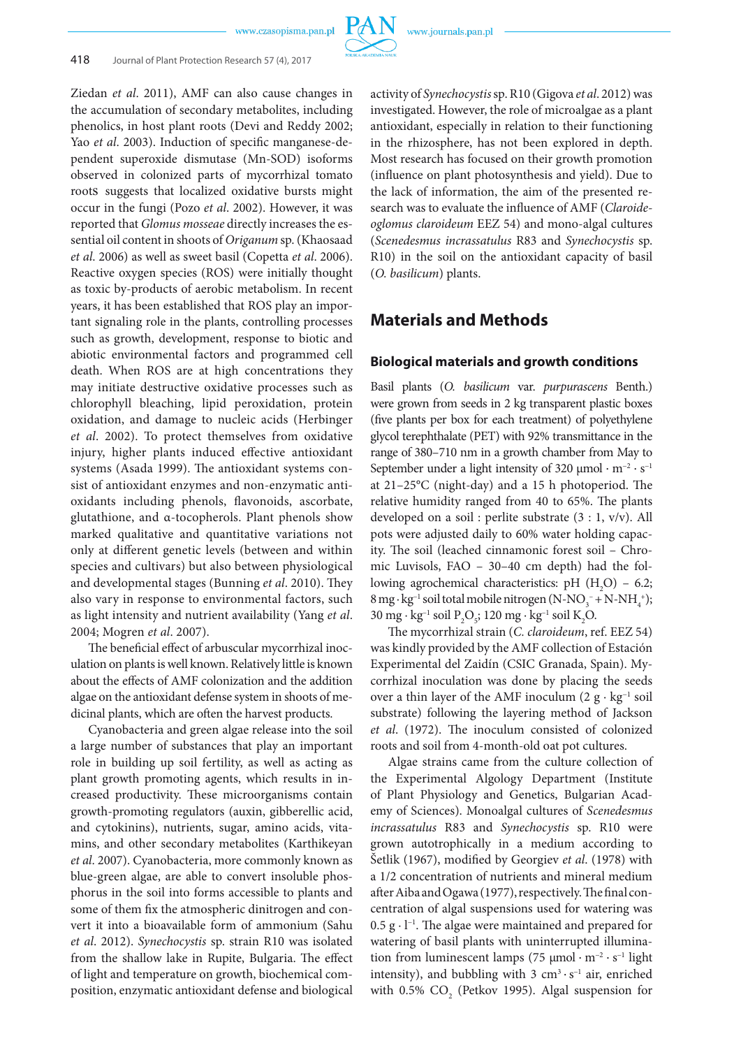Ziedan *et al*. 2011), AMF can also cause changes in the accumulation of secondary metabolites, including phenolics, in host plant roots (Devi and Reddy 2002; Yao *et al*. 2003). Induction of specific manganese-dependent superoxide dismutase (Mn-SOD) isoforms observed in colonized parts of mycorrhizal tomato roots suggests that localized oxidative bursts might occur in the fungi (Pozo *et al*. 2002). However, it was reported that *Glomus mosseae* directly increases the essential oil content in shoots of *Origanum* sp. (Khaosaad *et al*. 2006) as well as sweet basil (Copetta *et al*. 2006). Reactive oxygen species (ROS) were initially thought as toxic by-products of aerobic metabolism. In recent years, it has been established that ROS play an important signaling role in the plants, controlling processes such as growth, development, response to biotic and abiotic environmental factors and programmed cell death. When ROS are at high concentrations they may initiate destructive oxidative processes such as chlorophyll bleaching, lipid peroxidation, protein oxidation, and damage to nucleic acids (Herbinger *et al*. 2002). To protect themselves from oxidative injury, higher plants induced effective antioxidant systems (Asada 1999). The antioxidant systems consist of antioxidant enzymes and non-enzymatic antioxidants including phenols, flavonoids, ascorbate, glutathione, and α-tocopherols. Plant phenols show marked qualitative and quantitative variations not only at different genetic levels (between and within species and cultivars) but also between physiological and developmental stages (Bunning *et al*. 2010). They also vary in response to environmental factors, such as light intensity and nutrient availability (Yang *et al*. 2004; Mogren *et al*. 2007).

The beneficial effect of arbuscular mycorrhizal inoculation on plants is well known. Relatively little is known about the effects of AMF colonization and the addition algae on the antioxidant defense system in shoots of medicinal plants, which are often the harvest products.

Cyanobacteria and green algae release into the soil a large number of substances that play an important role in building up soil fertility, as well as acting as plant growth promoting agents, which results in increased productivity. These microorganisms contain growth-promoting regulators (auxin, gibberellic acid, and cytokinins), nutrients, sugar, amino acids, vitamins, and other secondary metabolites (Karthikeyan *et al*. 2007). Cyanobacteria, more commonly known as blue-green algae, are able to convert insoluble phosphorus in the soil into forms accessible to plants and some of them fix the atmospheric dinitrogen and convert it into a bioavailable form of ammonium (Sahu *et al*. 2012). *Synechocystis* sp. strain R10 was isolated from the shallow lake in Rupite, Bulgaria. The effect of light and temperature on growth, biochemical composition, enzymatic antioxidant defense and biological activity of *Synechocystis* sp. R10 (Gigova *et al*. 2012) was investigated. However, the role of microalgae as a plant antioxidant, especially in relation to their functioning in the rhizosphere, has not been explored in depth. Most research has focused on their growth promotion (influence on plant photosynthesis and yield). Due to the lack of information, the aim of the presented research was to evaluate the influence of AMF (*Claroideoglomus claroideum* EEZ 54) and mono-algal cultures (*Scenedesmus incrassatulus* R83 and *Synechocystis* sp. R10) in the soil on the antioxidant capacity of basil (*O. basilicum*) plants.

## **Materials and Methods**

#### **Biological materials and growth conditions**

Basil plants (*O. basilicum* var. *purpurascens* Benth.) were grown from seeds in 2 kg transparent plastic boxes (five plants per box for each treatment) of polyethylene glycol terephthalate (PET) with 92% transmittance in the range of 380–710 nm in a growth chamber from May to September under a light intensity of 320 µmol  $\cdot$  m<sup>-2</sup>  $\cdot$  s<sup>-1</sup> at 21–25°C (night-day) and a 15 h photoperiod. The relative humidity ranged from 40 to 65%. The plants developed on a soil : perlite substrate (3 : 1, v/v). All pots were adjusted daily to 60% water holding capacity. The soil (leached cinnamonic forest soil – Chromic Luvisols, FAO – 30–40 cm depth) had the following agrochemical characteristics: pH  $(H_2O) - 6.2$ ; 8 mg ⋅ kg<sup>-1</sup> soil total mobile nitrogen (N-NO<sub>3</sub><sup>-</sup> + N-NH<sub>4</sub><sup>+</sup>); 30 mg ⋅ kg<sup>-1</sup> soil P<sub>2</sub>O<sub>5</sub>; 120 mg ⋅ kg<sup>-1</sup> soil K<sub>2</sub>O.

The mycorrhizal strain (*C. claroideum*, ref. EEZ 54) was kindly provided by the AMF collection of Estación Experimental del Zaidín (CSIC Granada, Spain). Mycorrhizal inoculation was done by placing the seeds over a thin layer of the AMF inoculum  $(2 g \cdot kg^{-1} \text{ soil})$ substrate) following the layering method of Jackson *et al*. (1972). The inoculum consisted of colonized roots and soil from 4-month-old oat pot cultures.

Algae strains came from the culture collection of the Experimental Algology Department (Institute of Plant Physiology and Genetics, Bulgarian Academy of Sciences). Monoalgal cultures of *Scenedesmus incrassatulus* R83 and *Synechocystis* sp. R10 were grown autotrophically in a medium according to Šetlik (1967), modified by Georgiev *et al*. (1978) with a 1/2 concentration of nutrients and mineral medium after Aiba and Ogawa (1977), respectively. The final concentration of algal suspensions used for watering was 0.5 g ⋅  $l^{-1}$ . The algae were maintained and prepared for watering of basil plants with uninterrupted illumination from luminescent lamps (75 µmol  $\cdot$  m<sup>-2</sup>  $\cdot$  s<sup>-1</sup> light intensity), and bubbling with  $3 \text{ cm}^3 \cdot \text{s}^{-1}$  air, enriched with  $0.5\%$  CO<sub>2</sub> (Petkov 1995). Algal suspension for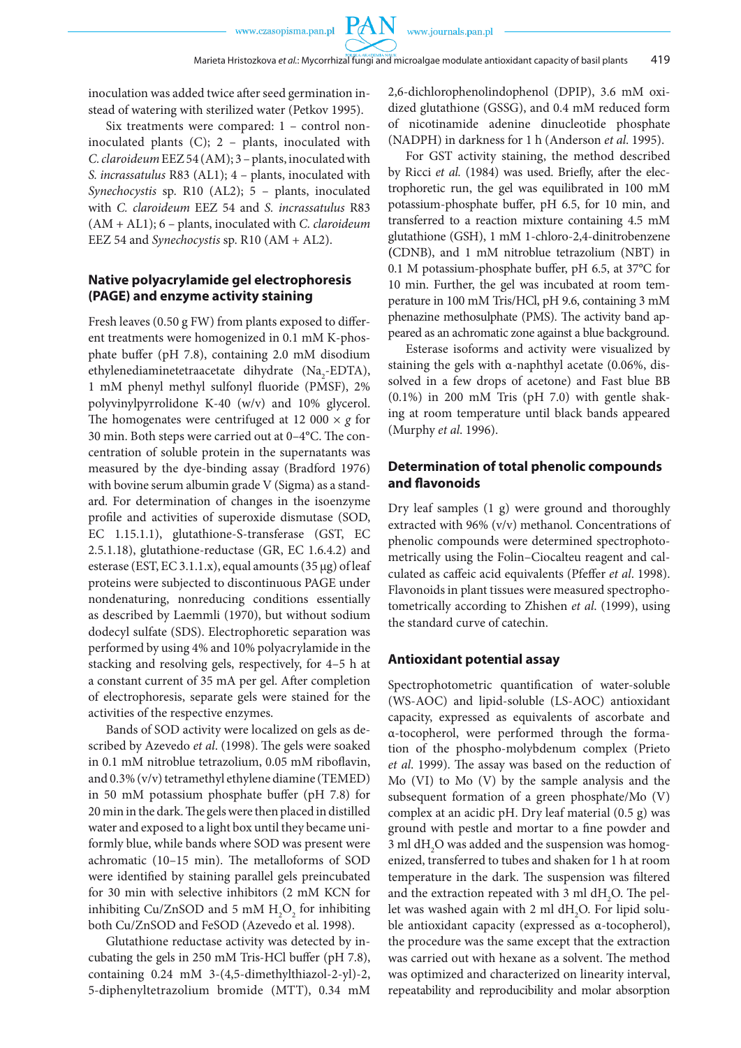**PAN** 

inoculation was added twice after seed germination instead of watering with sterilized water (Petkov 1995).

Six treatments were compared: 1 – control noninoculated plants (C); 2 – plants, inoculated with *C. claroideum* EEZ 54 (AM); 3 – plants, inoculated with *S. incrassatulus* R83 (AL1); 4 – plants, inoculated with *Synechocystis* sp. R10 (AL2); 5 – plants, inoculated with *C. claroideum* EEZ 54 and *S. incrassatulus* R83 (AM + AL1); 6 – plants, inoculated with *C. claroideum* EEZ 54 and *Synechocystis* sp. R10 (AM + AL2).

### **Native polyacrylamide gel electrophoresis (PAGE) and enzyme activity staining**

Fresh leaves (0.50 g FW) from plants exposed to different treatments were homogenized in 0.1 mM K-phosphate buffer (pH 7.8), containing 2.0 mM disodium ethylenediaminetetraacetate dihydrate (Na<sub>2</sub>-EDTA), 1 mM phenyl methyl sulfonyl fluoride (PMSF), 2% polyvinylpyrrolidone K-40 (w/v) and 10% glycerol. The homogenates were centrifuged at 12 000  $\times$  *g* for 30 min. Both steps were carried out at 0–4°C. The concentration of soluble protein in the supernatants was measured by the dye-binding assay (Bradford 1976) with bovine serum albumin grade V (Sigma) as a standard. For determination of changes in the isoenzyme profile and activities of superoxide dismutase (SOD, EC 1.15.1.1), glutathione-S-transferase (GST, EC 2.5.1.18), glutathione-reductase (GR, EC 1.6.4.2) and esterase (EST, EC 3.1.1.x), equal amounts (35 µg) of leaf proteins were subjected to discontinuous PAGE under nondenaturing, nonreducing conditions essentially as described by Laemmli (1970), but without sodium dodecyl sulfate (SDS). Electrophoretic separation was performed by using 4% and 10% polyacrylamide in the stacking and resolving gels, respectively, for 4–5 h at a constant current of 35 mA per gel. After completion of electrophoresis, separate gels were stained for the activities of the respective enzymes.

Bands of SOD activity were localized on gels as described by Azevedo *et al*. (1998). The gels were soaked in 0.1 mM nitroblue tetrazolium, 0.05 mM riboflavin, and 0.3% (v/v) tetramethyl ethylene diamine (TEMED) in 50 mM potassium phosphate buffer (pH 7.8) for 20 min in the dark. The gels were then placed in distilled water and exposed to a light box until they became uniformly blue, while bands where SOD was present were achromatic (10–15 min). The metalloforms of SOD were identified by staining parallel gels preincubated for 30 min with selective inhibitors (2 mM KCN for inhibiting Cu/ZnSOD and 5 mM  $H_2O_2$  for inhibiting both Cu/ZnSOD and FeSOD (Azevedo et al. 1998).

Glutathione reductase activity was detected by incubating the gels in 250 mM Tris-HCl buffer (pH 7.8), containing 0.24 mM 3-(4,5-dimethylthiazol-2-yl)-2, 5-diphenyltetrazolium bromide (MTT), 0.34 mM 2,6-dichlorophenolindophenol (DPIP), 3.6 mM oxidized glutathione (GSSG), and 0.4 mM reduced form of nicotinamide adenine dinucleotide phosphate (NADPH) in darkness for 1 h (Anderson *et al*. 1995).

For GST activity staining, the method described by Ricci *et al.* (1984) was used. Briefly, after the electrophoretic run, the gel was equilibrated in 100 mM potassium-phosphate buffer, pH 6.5, for 10 min, and transferred to a reaction mixture containing 4.5 mM glutathione (GSH), 1 mM 1-chloro-2,4-dinitrobenzene **(**CDNB), and 1 mM nitroblue tetrazolium (NBT) in 0.1 M potassium*-*phosphate buffer, pH 6.5, at 37°C for 10 min. Further, the gel was incubated at room temperature in 100 mM Tris/HCl, pH 9.6, containing 3 mM phenazine methosulphate (PMS). The activity band appeared as an achromatic zone against a blue background.

Esterase isoforms and activity were visualized by staining the gels with α-naphthyl acetate (0.06%, dissolved in a few drops of acetone) and Fast blue BB  $(0.1\%)$  in 200 mM Tris (pH 7.0) with gentle shaking at room temperature until black bands appeared (Murphy *et al*. 1996).

#### **Determination of total phenolic compounds and flavonoids**

Dry leaf samples (1 g) were ground and thoroughly extracted with 96% (v/v) methanol. Concentrations of phenolic compounds were determined spectrophotometrically using the Folin–Ciocalteu reagent and calculated as caffeic acid equivalents (Pfeffer *et al*. 1998). Flavonoids in plant tissues were measured spectrophotometrically according to Zhishen *et al*. (1999), using the standard curve of catechin.

#### **Antioxidant potential assay**

Spectrophotometric quantification of water-soluble (WS-AOC) and lipid-soluble (LS-AOC) antioxidant capacity, expressed as equivalents of ascorbate and α-tocopherol, were performed through the formation of the phospho-molybdenum complex (Prieto *et al*. 1999). The assay was based on the reduction of Mo (VI) to Mo (V) by the sample analysis and the subsequent formation of a green phosphate/Mo (V) complex at an acidic pH. Dry leaf material (0.5 g) was ground with pestle and mortar to a fine powder and  $3$  ml  $\mathrm{dH_2O}$  was added and the suspension was homogenized, transferred to tubes and shaken for 1 h at room temperature in the dark. The suspension was filtered and the extraction repeated with 3 ml  $dH_2O$ . The pellet was washed again with 2 ml  $dH_2O$ . For lipid soluble antioxidant capacity (expressed as α-tocopherol), the procedure was the same except that the extraction was carried out with hexane as a solvent. The method was optimized and characterized on linearity interval, repeatability and reproducibility and molar absorption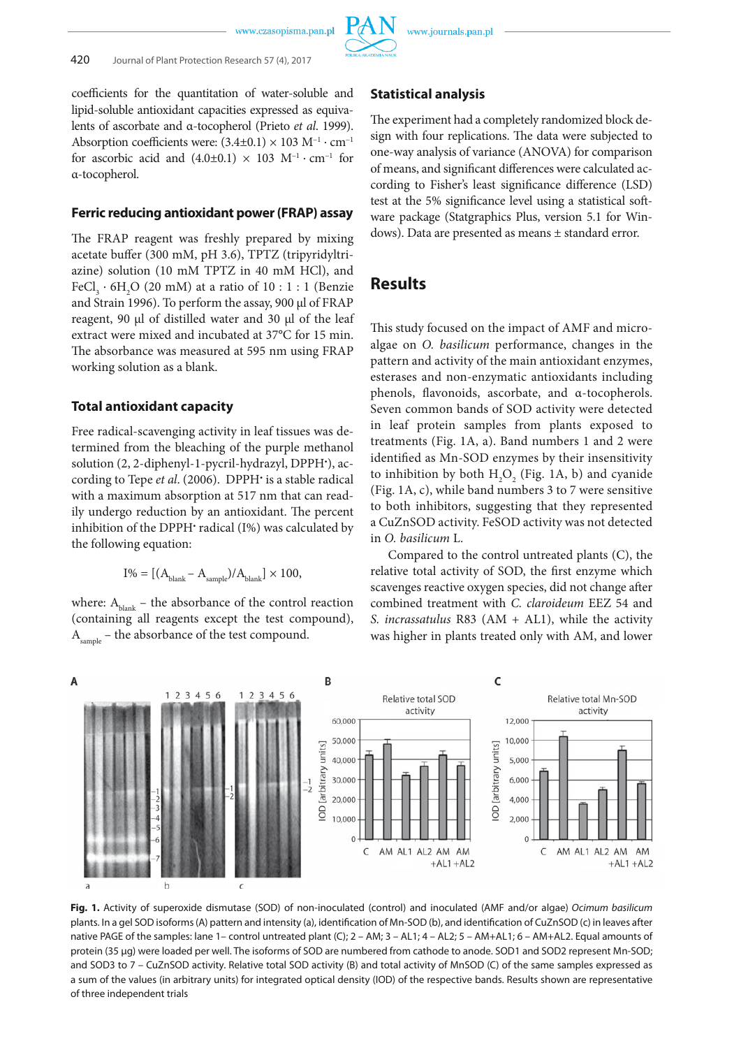

coefficients for the quantitation of water-soluble and lipid-soluble antioxidant capacities expressed as equivalents of ascorbate and α-tocopherol (Prieto *et al*. 1999). Absorption coefficients were:  $(3.4\pm0.1) \times 103 \text{ M}^{-1} \cdot \text{cm}^{-1}$ for ascorbic acid and  $(4.0\pm0.1) \times 103$  M<sup>-1</sup> ⋅ cm<sup>-1</sup> for α-tocopherol.

#### **Ferric reducing antioxidant power (FRAP) assay**

The FRAP reagent was freshly prepared by mixing acetate buffer (300 mM, pH 3.6), TPTZ (tripyridyltriazine) solution (10 mM TPTZ in 40 mM HCl), and FeCl<sub>3</sub> ⋅ 6H<sub>2</sub>O (20 mM) at a ratio of 10 : 1 : 1 (Benzie and Strain 1996). To perform the assay, 900 μl of FRAP reagent, 90 μl of distilled water and 30 μl of the leaf extract were mixed and incubated at 37°C for 15 min. The absorbance was measured at 595 nm using FRAP working solution as a blank.

#### **Total antioxidant capacity**

Free radical-scavenging activity in leaf tissues was determined from the bleaching of the purple methanol solution (2, 2-diphenyl-1-pycril-hydrazyl, DPPH• ), according to Tepe *et al*. (2006). DPPH• is a stable radical with a maximum absorption at 517 nm that can readily undergo reduction by an antioxidant. The percent inhibition of the DPPH• radical (I%) was calculated by the following equation:

$$
I\% = \left[ (A_{\text{blank}} - A_{\text{sample}}) / A_{\text{blank}} \right] \times 100,
$$

where:  $A<sub>blank</sub>$  – the absorbance of the control reaction (containing all reagents except the test compound),  $A_{\text{sample}}$  – the absorbance of the test compound.

#### **Statistical analysis**

The experiment had a completely randomized block design with four replications. The data were subjected to one-way analysis of variance (ANOVA) for comparison of means, and significant differences were calculated according to Fisher's least significance difference (LSD) test at the 5% significance level using a statistical software package (Statgraphics Plus, version 5.1 for Windows). Data are presented as means ± standard error.

### **Results**

This study focused on the impact of AMF and microalgae on *O. basilicum* performance, changes in the pattern and activity of the main antioxidant enzymes, esterases and non-enzymatic antioxidants including phenols, flavonoids, ascorbate, and α-tocopherols. Seven common bands of SOD activity were detected in leaf protein samples from plants exposed to treatments (Fig. 1A, a). Band numbers 1 and 2 were identified as Mn-SOD enzymes by their insensitivity to inhibition by both  $H_2O_2$  (Fig. 1A, b) and cyanide (Fig. 1A, c), while band numbers 3 to 7 were sensitive to both inhibitors, suggesting that they represented a CuZnSOD activity. FeSOD activity was not detected in *O. basilicum* L.

Compared to the control untreated plants (C), the relative total activity of SOD, the first enzyme which scavenges reactive oxygen species, did not change after combined treatment with *C. claroideum* EEZ 54 and *S. incrassatulus* R83 (AM + AL1), while the activity was higher in plants treated only with AM, and lower



**Fig. 1.** Activity of superoxide dismutase (SOD) of non-inoculated (control) and inoculated (AMF and/or algae) *Ocimum basilicum* plants. In a gel SOD isoforms (A) pattern and intensity (a), identification of Mn-SOD (b), and identification of CuZnSOD (c) in leaves after native PAGE of the samples: lane 1– control untreated plant (C); 2 – AM; 3 – AL1; 4 – AL2; 5 – AM+AL1; 6 – AM+AL2. Equal amounts of protein (35 µg) were loaded per well. The isoforms of SOD are numbered from cathode to anode. SOD1 and SOD2 represent Mn-SOD; and SOD3 to 7 - CuZnSOD activity. Relative total SOD activity (B) and total activity of MnSOD (C) of the same samples expressed as a sum of the values (in arbitrary units) for integrated optical density (IOD) of the respective bands. Results shown are representative of three independent trials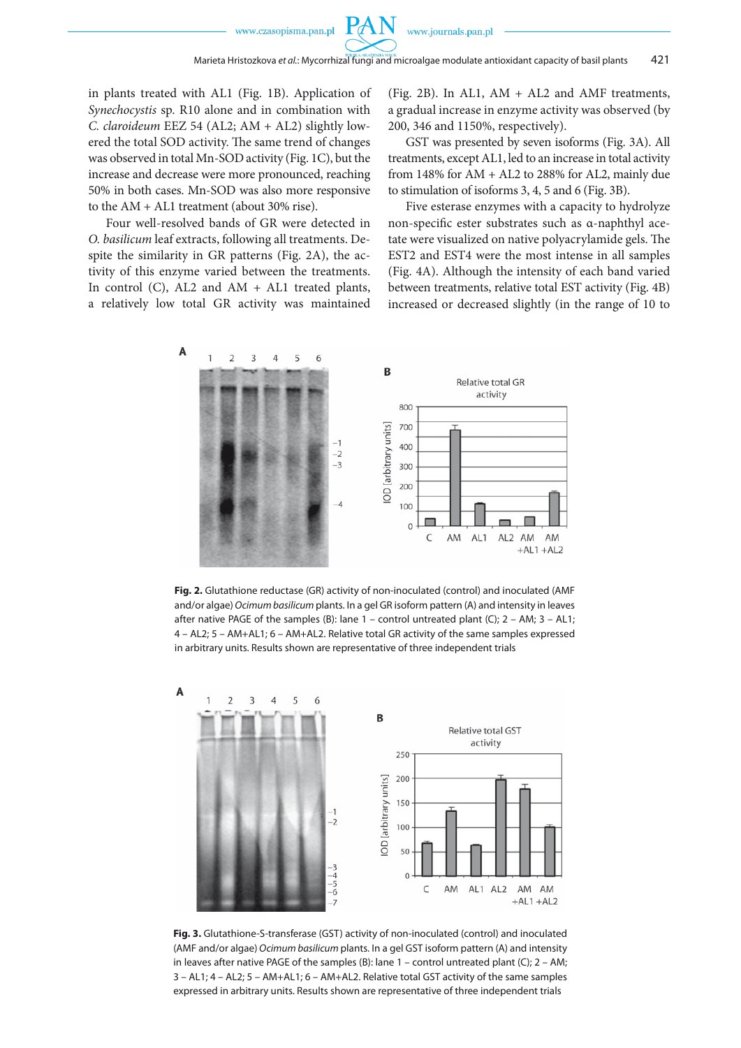in plants treated with AL1 (Fig. 1B). Application of *Synechocystis* sp. R10 alone and in combination with *C. claroideum* EEZ 54 (AL2; AM + AL2) slightly lowered the total SOD activity. The same trend of changes was observed in total Mn-SOD activity (Fig. 1C), but the increase and decrease were more pronounced, reaching 50% in both cases. Mn-SOD was also more responsive to the AM + AL1 treatment (about 30% rise).

Four well-resolved bands of GR were detected in *O. basilicum* leaf extracts, following all treatments. Despite the similarity in GR patterns (Fig. 2A), the activity of this enzyme varied between the treatments. In control  $(C)$ , AL2 and AM + AL1 treated plants, a relatively low total GR activity was maintained (Fig. 2B). In AL1, AM + AL2 and AMF treatments, a gradual increase in enzyme activity was observed (by 200, 346 and 1150%, respectively).

GST was presented by seven isoforms (Fig. 3A). All treatments, except AL1, led to an increase in total activity from 148% for AM + AL2 to 288% for AL2, mainly due to stimulation of isoforms 3, 4, 5 and 6 (Fig. 3B).

Five esterase enzymes with a capacity to hydrolyze non-specific ester substrates such as α-naphthyl acetate were visualized on native polyacrylamide gels. The EST2 and EST4 were the most intense in all samples (Fig. 4A). Although the intensity of each band varied between treatments, relative total EST activity (Fig. 4B) increased or decreased slightly (in the range of 10 to



**Fig. 2.** Glutathione reductase (GR) activity of non-inoculated (control) and inoculated (AMF and/or algae) *Ocimum basilicum* plants. In a gel GR isoform pattern (A) and intensity in leaves after native PAGE of the samples (B): lane 1 – control untreated plant (C); 2 – AM; 3 – AL1; 4 – AL2; 5 – AM+AL1; 6 – AM+AL2. Relative total GR activity of the same samples expressed in arbitrary units. Results shown are representative of three independent trials



**Fig. 3.** Glutathione-S-transferase (GST) activity of non-inoculated (control) and inoculated (AMF and/or algae) *Ocimum basilicum* plants. In a gel GST isoform pattern (A) and intensity in leaves after native PAGE of the samples (B): lane  $1$  – control untreated plant (C);  $2$  – AM; 3 – AL1; 4 – AL2; 5 – AM+AL1; 6 – AM+AL2. Relative total GST activity of the same samples expressed in arbitrary units. Results shown are representative of three independent trials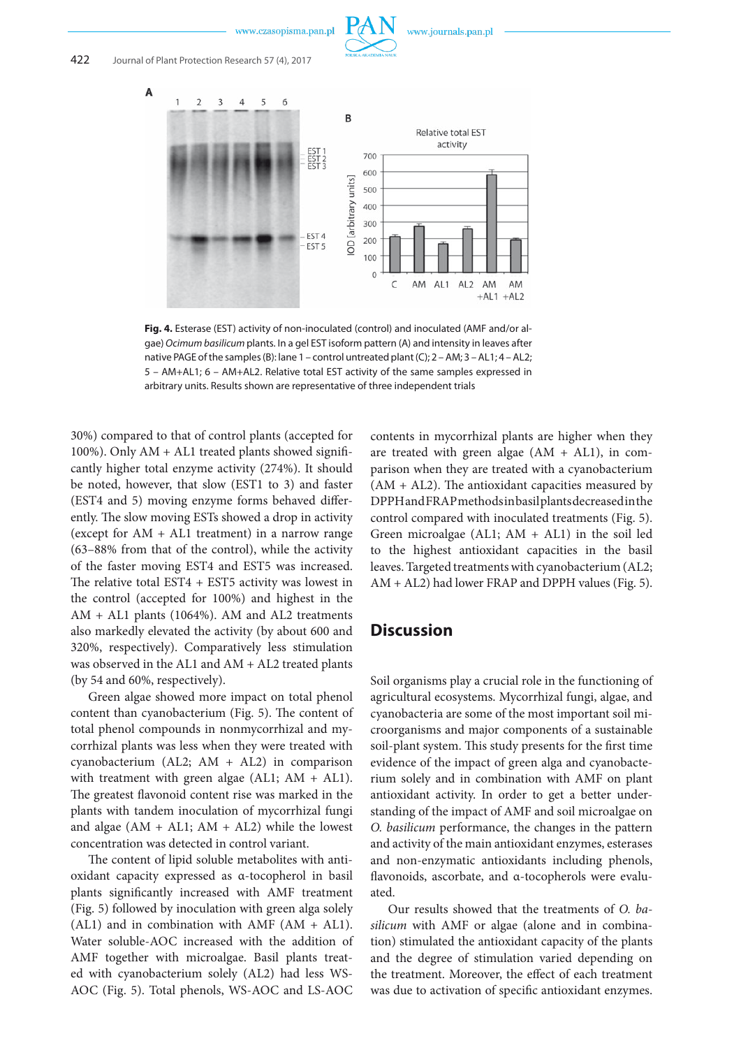

**Fig. 4.** Esterase (EST) activity of non-inoculated (control) and inoculated (AMF and/or algae) *Ocimum basilicum* plants. In a gel EST isoform pattern (A) and intensity in leaves after native PAGE of the samples (B): lane 1 – control untreated plant (C); 2 – AM; 3 – AL1; 4 – AL2; 5 – AM+AL1; 6 – AM+AL2. Relative total EST activity of the same samples expressed in arbitrary units. Results shown are representative of three independent trials

30%) compared to that of control plants (accepted for 100%). Only AM + AL1 treated plants showed significantly higher total enzyme activity (274%). It should be noted, however, that slow (EST1 to 3) and faster (EST4 and 5) moving enzyme forms behaved differently. The slow moving ESTs showed a drop in activity (except for AM + AL1 treatment) in a narrow range (63–88% from that of the control), while the activity of the faster moving EST4 and EST5 was increased. The relative total  $EST4 + EST5$  activity was lowest in the control (accepted for 100%) and highest in the AM + AL1 plants (1064%). AM and AL2 treatments also markedly elevated the activity (by about 600 and 320%, respectively). Comparatively less stimulation was observed in the AL1 and AM + AL2 treated plants (by 54 and 60%, respectively).

Green algae showed more impact on total phenol content than cyanobacterium (Fig. 5). The content of total phenol compounds in nonmycorrhizal and mycorrhizal plants was less when they were treated with cyanobacterium (AL2; AM + AL2) in comparison with treatment with green algae  $(AL1; AM + AL1)$ . The greatest flavonoid content rise was marked in the plants with tandem inoculation of mycorrhizal fungi and algae  $(AM + AL1; AM + AL2)$  while the lowest concentration was detected in control variant.

The content of lipid soluble metabolites with antioxidant capacity expressed as α-tocopherol in basil plants significantly increased with AMF treatment (Fig. 5) followed by inoculation with green alga solely (AL1) and in combination with AMF (AM + AL1). Water soluble-AOC increased with the addition of AMF together with microalgae. Basil plants treated with cyanobacterium solely (AL2) had less WS-AOC (Fig. 5). Total phenols, WS-AOC and LS-AOC

contents in mycorrhizal plants are higher when they are treated with green algae  $(AM + AL1)$ , in comparison when they are treated with a cyanobacterium  $(AM + AL2)$ . The antioxidant capacities measured by DPPH and FRAP methods in basil plants decreased in the control compared with inoculated treatments (Fig. 5). Green microalgae (AL1; AM + AL1) in the soil led to the highest antioxidant capacities in the basil leaves. Targeted treatments with cyanobacterium (AL2; AM + AL2) had lower FRAP and DPPH values (Fig. 5).

### **Discussion**

Soil organisms play a crucial role in the functioning of agricultural ecosystems. Mycorrhizal fungi, algae, and cyanobacteria are some of the most important soil microorganisms and major components of a sustainable soil-plant system. This study presents for the first time evidence of the impact of green alga and cyanobacterium solely and in combination with AMF on plant antioxidant activity. In order to get a better understanding of the impact of AMF and soil microalgae on *O. basilicum* performance, the changes in the pattern and activity of the main antioxidant enzymes, esterases and non-enzymatic antioxidants including phenols, flavonoids, ascorbate, and α-tocopherols were evaluated.

Our results showed that the treatments of *O. basilicum* with AMF or algae (alone and in combination) stimulated the antioxidant capacity of the plants and the degree of stimulation varied depending on the treatment. Moreover, the effect of each treatment was due to activation of specific antioxidant enzymes.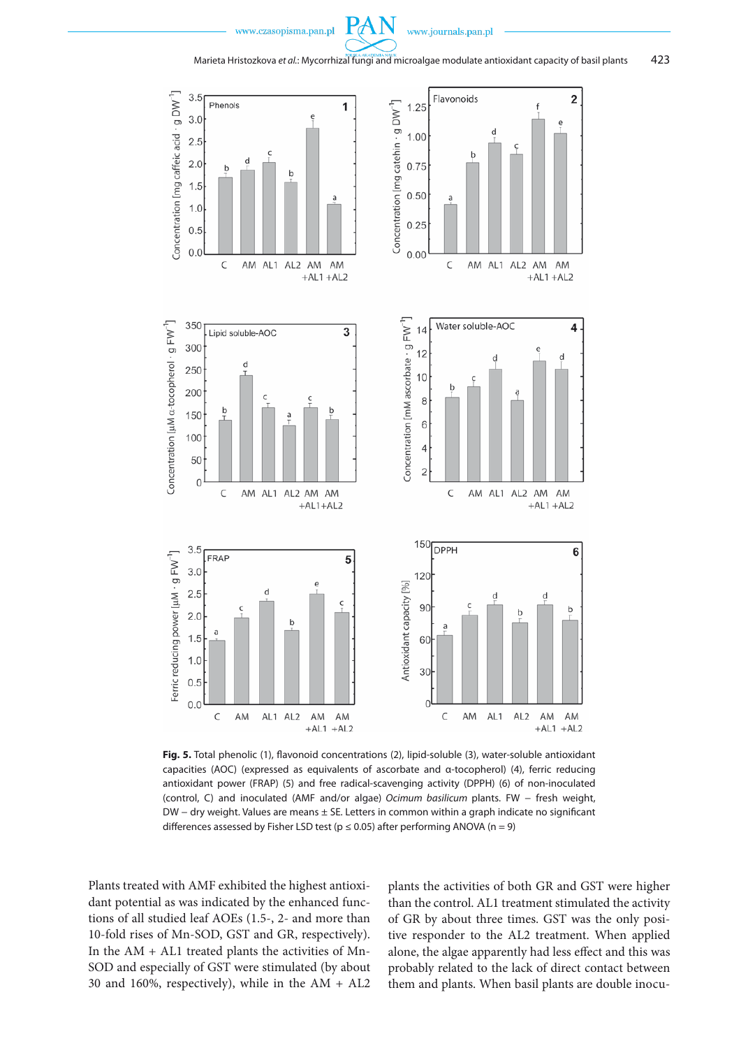



**Fig. 5.** Total phenolic (1), flavonoid concentrations (2), lipid-soluble (3), water-soluble antioxidant capacities (AOC) (expressed as equivalents of ascorbate and α-tocopherol) (4), ferric reducing antioxidant power (FRAP) (5) and free radical-scavenging activity (DPPH) (6) of non-inoculated (control, C) and inoculated (AMF and/or algae) *Ocimum basilicum* plants. FW − fresh weight, DW − dry weight. Values are means ± SE. Letters in common within a graph indicate no significant differences assessed by Fisher LSD test ( $p \le 0.05$ ) after performing ANOVA (n = 9)

Plants treated with AMF exhibited the highest antioxidant potential as was indicated by the enhanced functions of all studied leaf AOEs (1.5-, 2- and more than 10-fold rises of Mn-SOD, GST and GR, respectively). In the AM + AL1 treated plants the activities of Mn-SOD and especially of GST were stimulated (by about 30 and 160%, respectively), while in the AM + AL2 plants the activities of both GR and GST were higher than the control. AL1 treatment stimulated the activity of GR by about three times. GST was the only positive responder to the AL2 treatment. When applied alone, the algae apparently had less effect and this was probably related to the lack of direct contact between them and plants. When basil plants are double inocu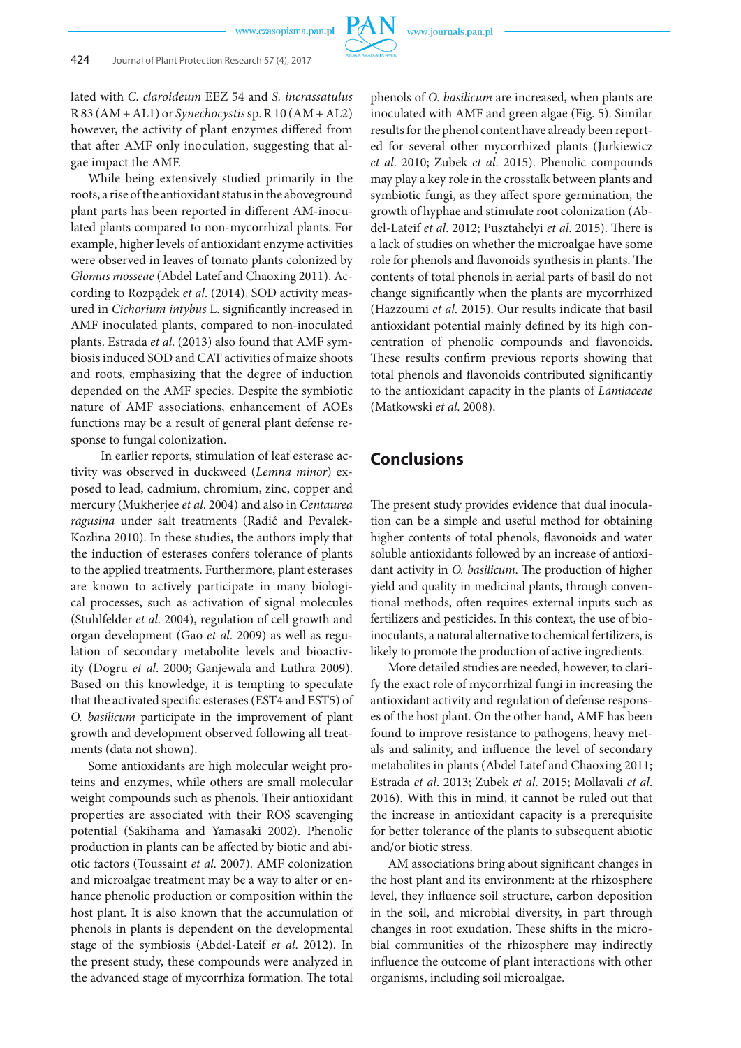lated with *C. claroideum* EEZ 54 and *S. incrassatulus* R 83 (AM + AL1) or *Synechocystis* sp. R 10 (AM + AL2) however, the activity of plant enzymes differed from that after AMF only inoculation, suggesting that algae impact the AMF.

While being extensively studied primarily in the roots, a rise of the antioxidant status in the aboveground plant parts has been reported in different AM-inoculated plants compared to non-mycorrhizal plants. For example, higher levels of antioxidant enzyme activities were observed in leaves of tomato plants colonized by *Glomus mosseae* (Abdel Latef and Chaoxing 2011). According to Rozpądek *et al*. (2014), SOD activity measured in *Cichorium intybus* L. significantly increased in AMF inoculated plants, compared to non-inoculated plants. Estrada *et al*. (2013) also found that AMF symbiosis induced SOD and CAT activities of maize shoots and roots, emphasizing that the degree of induction depended on the AMF species. Despite the symbiotic nature of AMF associations, enhancement of AOEs functions may be a result of general plant defense response to fungal colonization.

 In earlier reports, stimulation of leaf esterase activity was observed in duckweed (*Lemna minor*) exposed to lead, cadmium, chromium, zinc, copper and mercury (Mukherjee *et al*. 2004) and also in *Centaurea ragusina* under salt treatments (Radić and Pevalek-Kozlina 2010). In these studies, the authors imply that the induction of esterases confers tolerance of plants to the applied treatments. Furthermore, plant esterases are known to actively participate in many biological processes, such as activation of signal molecules (Stuhlfelder *et al*. 2004), regulation of cell growth and organ development (Gao *et al*. 2009) as well as regulation of secondary metabolite levels and bioactivity (Dogru *et al*. 2000; Ganjewala and Luthra 2009). Based on this knowledge, it is tempting to speculate that the activated specific esterases (EST4 and EST5) of *O. basilicum* participate in the improvement of plant growth and development observed following all treatments (data not shown).

Some antioxidants are high molecular weight proteins and enzymes, while others are small molecular weight compounds such as phenols. Their antioxidant properties are associated with their ROS scavenging potential (Sakihama and Yamasaki 2002). Phenolic production in plants can be affected by biotic and abiotic factors (Toussaint *et al*. 2007). AMF colonization and microalgae treatment may be a way to alter or enhance phenolic production or composition within the host plant. It is also known that the accumulation of phenols in plants is dependent on the developmental stage of the symbiosis (Abdel-Lateif *et al*. 2012). In the present study, these compounds were analyzed in the advanced stage of mycorrhiza formation. The total

phenols of *O. basilicum* are increased, when plants are inoculated with AMF and green algae (Fig. 5). Similar results for the phenol content have already been reported for several other mycorrhized plants (Jurkiewicz *et al*. 2010; Zubek *et al*. 2015). Phenolic compounds may play a key role in the crosstalk between plants and symbiotic fungi, as they affect spore germination, the growth of hyphae and stimulate root colonization (Abdel-Lateif *et al*. 2012; Pusztahelyi *et al*. 2015). There is a lack of studies on whether the microalgae have some role for phenols and flavonoids synthesis in plants. The contents of total phenols in aerial parts of basil do not change significantly when the plants are mycorrhized (Hazzoumi *et al*. 2015). Our results indicate that basil antioxidant potential mainly defined by its high concentration of phenolic compounds and flavonoids. These results confirm previous reports showing that total phenols and flavonoids contributed significantly to the antioxidant capacity in the plants of *Lamiaceae* (Matkowski *et al*. 2008).

## **Conclusions**

The present study provides evidence that dual inoculation can be a simple and useful method for obtaining higher contents of total phenols, flavonoids and water soluble antioxidants followed by an increase of antioxidant activity in *O. basilicum*. The production of higher yield and quality in medicinal plants, through conventional methods, often requires external inputs such as fertilizers and pesticides. In this context, the use of bioinoculants, a natural alternative to chemical fertilizers, is likely to promote the production of active ingredients.

More detailed studies are needed, however, to clarify the exact role of mycorrhizal fungi in increasing the antioxidant activity and regulation of defense responses of the host plant. On the other hand, AMF has been found to improve resistance to pathogens, heavy metals and salinity, and influence the level of secondary metabolites in plants (Abdel Latef and Chaoxing 2011; Estrada *et al*. 2013; Zubek *et al*. 2015; Mollavali *et al*. 2016). With this in mind, it cannot be ruled out that the increase in antioxidant capacity is a prerequisite for better tolerance of the plants to subsequent abiotic and/or biotic stress.

AM associations bring about significant changes in the host plant and its environment: at the rhizosphere level, they influence soil structure, carbon deposition in the soil, and microbial diversity, in part through changes in root exudation. These shifts in the microbial communities of the rhizosphere may indirectly influence the outcome of plant interactions with other organisms, including soil microalgae.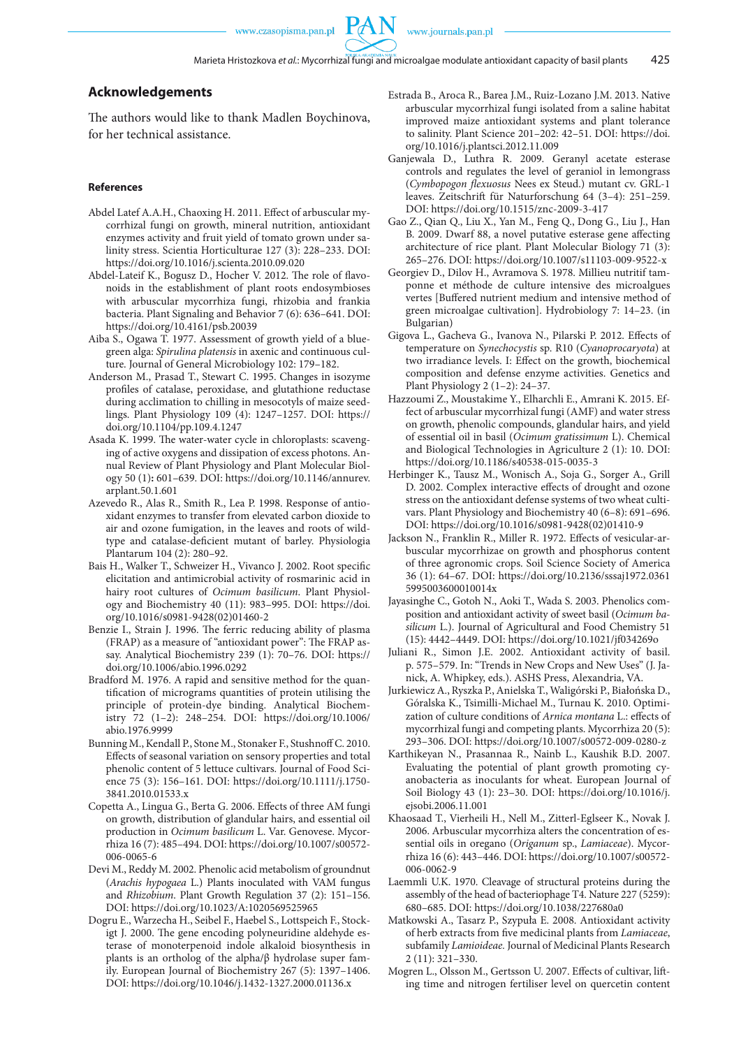#### **Acknowledgements**

The authors would like to thank Madlen Boychinova, for her technical assistance.

#### **References**

- Abdel Latef A.A.H., Chaoxing H. 2011. Effect of arbuscular mycorrhizal fungi on growth, mineral nutrition, antioxidant enzymes activity and fruit yield of tomato grown under salinity stress. Scientia Horticulturae 127 (3): 228–233. DOI: https://doi.org/10.1016/j.scienta.2010.09.020
- Abdel-Lateif K., Bogusz D., Hocher V. 2012. The role of flavonoids in the establishment of plant roots endosymbioses with arbuscular mycorrhiza fungi, rhizobia and frankia bacteria. Plant Signaling and Behavior 7 (6): 636–641. DOI: https://doi.org/10.4161/psb.20039
- Aiba S., Ogawa T. 1977. Assessment of growth yield of a bluegreen alga: *Spirulina platensis* in axenic and continuous culture. Journal of General Microbiology 102: 179–182.
- Anderson M., Prasad T., Stewart C. 1995. Changes in isozyme profiles of catalase, peroxidase, and glutathione reductase during acclimation to chilling in mesocotyls of maize seedlings. Plant Physiology 109 (4): 1247–1257. DOI: https:// doi.org/10.1104/pp.109.4.1247
- Asada K. 1999. The water-water cycle in chloroplasts: scavenging of active oxygens and dissipation of excess photons. Annual Review of Plant Physiology and Plant Molecular Biology 50 (1)**:** 601–639. DOI: https://doi.org/10.1146/annurev. arplant.50.1.601
- Azevedo R., Alas R., Smith R., Lea P. 1998. Response of antioxidant enzymes to transfer from elevated carbon dioxide to air and ozone fumigation, in the leaves and roots of wildtype and catalase-deficient mutant of barley. Physiologia Plantarum 104 (2): 280–92.
- Bais H., Walker T., Schweizer H., Vivanco J. 2002. Root specific elicitation and antimicrobial activity of rosmarinic acid in hairy root cultures of *Ocimum basilicum*. Plant Physiology and Biochemistry 40 (11): 983–995. DOI: https://doi. org/10.1016/s0981-9428(02)01460-2
- Benzie I., Strain J. 1996. The ferric reducing ability of plasma (FRAP) as a measure of "antioxidant power": The FRAP assay. Analytical Biochemistry 239 (1): 70–76. DOI: https:// doi.org/10.1006/abio.1996.0292
- Bradford M. 1976. A rapid and sensitive method for the quantification of micrograms quantities of protein utilising the principle of protein-dye binding. Analytical Biochemistry 72 (1–2): 248–254. DOI: https://doi.org/10.1006/ abio.1976.9999
- Bunning M., Kendall P., Stone M., Stonaker F., Stushnoff C. 2010. Effects of seasonal variation on sensory properties and total phenolic content of 5 lettuce cultivars. Journal of Food Science 75 (3): 156–161. DOI: https://doi.org/10.1111/j.1750- 3841.2010.01533.x
- Copetta A., Lingua G., Berta G. 2006. Effects of three AM fungi on growth, distribution of glandular hairs, and essential oil production in *Ocimum basilicum* L. Var. Genovese. Mycorrhiza 16 (7): 485–494. DOI: https://doi.org/10.1007/s00572- 006-0065-6
- Devi M., Reddy M. 2002. Phenolic acid metabolism of groundnut (*Arachis hypogaea* L.) Plants inoculated with VAM fungus and *Rhizobium*. Plant Growth Regulation 37 (2): 151–156. DOI: https://doi.org/10.1023/A:1020569525965
- Dogru E., Warzecha H., Seibel F., Haebel S., Lottspeich F., Stockigt J. 2000. The gene encoding polyneuridine aldehyde esterase of monoterpenoid indole alkaloid biosynthesis in plants is an ortholog of the alpha/β hydrolase super family. European Journal of Biochemistry 267 (5): 1397–1406. DOI: https://doi.org/10.1046/j.1432-1327.2000.01136.x
- Estrada B., Aroca R., Barea J.M., Ruiz-Lozano J.M. 2013. Native arbuscular mycorrhizal fungi isolated from a saline habitat improved maize antioxidant systems and plant tolerance to salinity. Plant Science 201–202: 42–51. DOI: https://doi. org/10.1016/j.plantsci.2012.11.009
- Ganjewala D., Luthra R. 2009. Geranyl acetate esterase controls and regulates the level of geraniol in lemongrass (*Cymbopogon flexuosus* Nees ex Steud.) mutant cv. GRL-1 leaves. Zeitschrift für Naturforschung 64 (3–4): 251–259. DOI: https://doi.org/10.1515/znc-2009-3-417
- Gao Z., Qian Q., Liu X., Yan M., Feng Q., Dong G., Liu J., Han B. 2009. Dwarf 88, a novel putative esterase gene affecting architecture of rice plant. Plant Molecular Biology 71 (3): 265–276. DOI: https://doi.org/10.1007/s11103-009-9522-x
- Georgiev D., Dilov H., Avramova S. 1978. Millieu nutritif tamponne et méthode de culture intensive des microalgues vertes [Buffered nutrient medium and intensive method of green microalgae cultivation]. Hydrobiology 7: 14–23. (in Bulgarian)
- Gigova L., Gacheva G., Ivanova N., Pilarski P. 2012. Effects of temperature on *Synechocystis* sp. R10 (*Cyanoprocaryota*) at two irradiance levels. I: Effect on the growth, biochemical composition and defense enzyme activities. Genetics and Plant Physiology 2 (1–2): 24–37.
- Hazzoumi Z., Moustakime Y., Elharchli E., Amrani K. 2015. Effect of arbuscular mycorrhizal fungi (AMF) and water stress on growth, phenolic compounds, glandular hairs, and yield of essential oil in basil (*Ocimum gratissimum* L). Chemical and Biological Technologies in Agriculture 2 (1): 10. DOI: https://doi.org/10.1186/s40538-015-0035-3
- Herbinger K., Tausz M., Wonisch A., Soja G., Sorger A., Grill D. 2002. Complex interactive effects of drought and ozone stress on the antioxidant defense systems of two wheat cultivars. Plant Physiology and Biochemistry 40 (6–8): 691–696. DOI: https://doi.org/10.1016/s0981-9428(02)01410-9
- Jackson N., Franklin R., Miller R. 1972. Effects of vesicular-arbuscular mycorrhizae on growth and phosphorus content of three agronomic crops. Soil Science Society of America 36 (1): 64–67. DOI: https://doi.org/10.2136/sssaj1972.0361 5995003600010014x
- Jayasinghe C., Gotoh N., Aoki T., Wada S. 2003. Phenolics composition and antioxidant activity of sweet basil (*Ocimum basilicum* L.). Journal of Agricultural and Food Chemistry 51 (15): 4442–4449. DOI: https://doi.org/10.1021/jf034269o
- Juliani R., Simon J.E. 2002. Antioxidant activity of basil. p. 575–579. In: "Trends in New Crops and New Uses" (J. Janick, A. Whipkey, eds.). ASHS Press, Alexandria, VA.
- Jurkiewicz A., Ryszka P., Anielska T., Waligórski P., Białońska D., Góralska K., Tsimilli-Michael M., Turnau K. 2010. Optimization of culture conditions of *Arnica montana* L.: effects of mycorrhizal fungi and competing plants. Mycorrhiza 20 (5): 293–306. DOI: https://doi.org/10.1007/s00572-009-0280-z
- Karthikeyan N., Prasannaa R., Nainb L., Kaushik B.D. 2007. Evaluating the potential of plant growth promoting cyanobacteria as inoculants for wheat. European Journal of Soil Biology 43 (1): 23–30. DOI: https://doi.org/10.1016/j. ejsobi.2006.11.001
- Khaosaad T., Vierheili H., Nell M., Zitterl-Eglseer K., Novak J. 2006. Arbuscular mycorrhiza alters the concentration of essential oils in oregano (*Origanum* sp., *Lamiaceae*). Mycorrhiza 16 (6): 443–446. DOI: https://doi.org/10.1007/s00572- 006-0062-9
- Laemmli U.K. 1970. Cleavage of structural proteins during the assembly of the head of bacteriophage T4. Nature 227 (5259): 680–685. DOI: https://doi.org/10.1038/227680a0
- Matkowski A., Tasarz P., Szypuła E. 2008. Antioxidant activity of herb extracts from five medicinal plants from *Lamiaceae*, subfamily *Lamioideae.* Journal of Medicinal Plants Research 2 (11): 321–330.
- Mogren L., Olsson M., Gertsson U. 2007. Effects of cultivar, lifting time and nitrogen fertiliser level on quercetin content